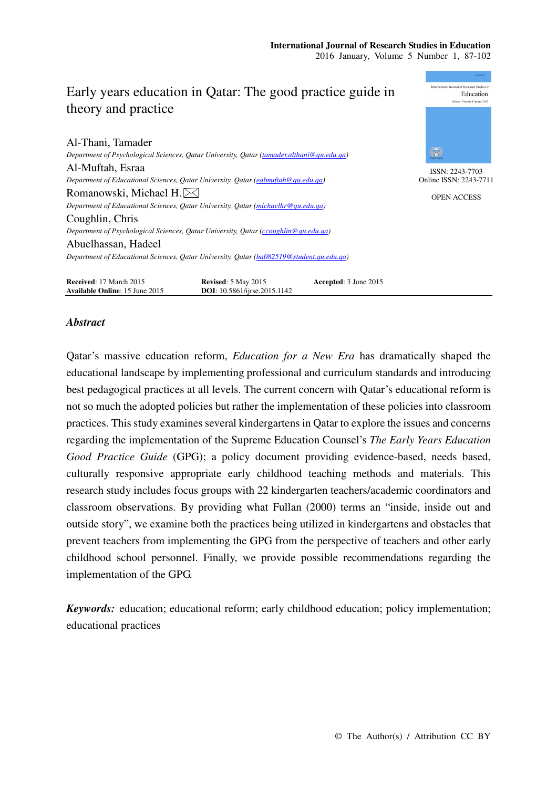

# *Abstract*

Qatar's massive education reform, *Education for a New Era* has dramatically shaped the educational landscape by implementing professional and curriculum standards and introducing best pedagogical practices at all levels. The current concern with Qatar's educational reform is not so much the adopted policies but rather the implementation of these policies into classroom practices. This study examines several kindergartens in Qatar to explore the issues and concerns regarding the implementation of the Supreme Education Counsel's *The Early Years Education Good Practice Guide* (GPG); a policy document providing evidence-based, needs based, culturally responsive appropriate early childhood teaching methods and materials. This research study includes focus groups with 22 kindergarten teachers/academic coordinators and classroom observations. By providing what Fullan (2000) terms an "inside, inside out and outside story", we examine both the practices being utilized in kindergartens and obstacles that prevent teachers from implementing the GPG from the perspective of teachers and other early childhood school personnel. Finally, we provide possible recommendations regarding the implementation of the GPG.

*Keywords:* education; educational reform; early childhood education; policy implementation; educational practices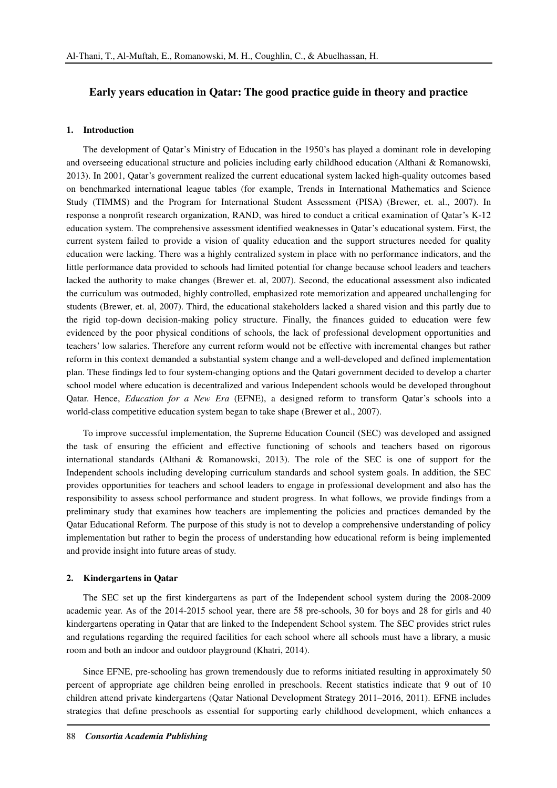# **Early years education in Qatar: The good practice guide in theory and practice**

## **1. Introduction**

The development of Qatar's Ministry of Education in the 1950's has played a dominant role in developing and overseeing educational structure and policies including early childhood education (Althani & Romanowski, 2013). In 2001, Qatar's government realized the current educational system lacked high-quality outcomes based on benchmarked international league tables (for example, Trends in International Mathematics and Science Study (TIMMS) and the Program for International Student Assessment (PISA) (Brewer, et. al., 2007). In response a nonprofit research organization, RAND, was hired to conduct a critical examination of Qatar's K-12 education system. The comprehensive assessment identified weaknesses in Qatar's educational system. First, the current system failed to provide a vision of quality education and the support structures needed for quality education were lacking. There was a highly centralized system in place with no performance indicators, and the little performance data provided to schools had limited potential for change because school leaders and teachers lacked the authority to make changes (Brewer et. al, 2007). Second, the educational assessment also indicated the curriculum was outmoded, highly controlled, emphasized rote memorization and appeared unchallenging for students (Brewer, et. al, 2007). Third, the educational stakeholders lacked a shared vision and this partly due to the rigid top-down decision-making policy structure. Finally, the finances guided to education were few evidenced by the poor physical conditions of schools, the lack of professional development opportunities and teachers' low salaries. Therefore any current reform would not be effective with incremental changes but rather reform in this context demanded a substantial system change and a well-developed and defined implementation plan. These findings led to four system-changing options and the Qatari government decided to develop a charter school model where education is decentralized and various Independent schools would be developed throughout Qatar. Hence, *Education for a New Era* (EFNE), a designed reform to transform Qatar's schools into a world-class competitive education system began to take shape (Brewer et al., 2007).

To improve successful implementation, the Supreme Education Council (SEC) was developed and assigned the task of ensuring the efficient and effective functioning of schools and teachers based on rigorous international standards (Althani & Romanowski, 2013). The role of the SEC is one of support for the Independent schools including developing curriculum standards and school system goals. In addition, the SEC provides opportunities for teachers and school leaders to engage in professional development and also has the responsibility to assess school performance and student progress. In what follows, we provide findings from a preliminary study that examines how teachers are implementing the policies and practices demanded by the Qatar Educational Reform. The purpose of this study is not to develop a comprehensive understanding of policy implementation but rather to begin the process of understanding how educational reform is being implemented and provide insight into future areas of study.

# **2. Kindergartens in Qatar**

The SEC set up the first kindergartens as part of the Independent school system during the 2008-2009 academic year. As of the 2014-2015 school year, there are 58 pre-schools, 30 for boys and 28 for girls and 40 kindergartens operating in Qatar that are linked to the Independent School system. The SEC provides strict rules and regulations regarding the required facilities for each school where all schools must have a library, a music room and both an indoor and outdoor playground (Khatri, 2014).

Since EFNE, pre-schooling has grown tremendously due to reforms initiated resulting in approximately 50 percent of appropriate age children being enrolled in preschools. Recent statistics indicate that 9 out of 10 children attend private kindergartens (Qatar National Development Strategy 2011–2016, 2011). EFNE includes strategies that define preschools as essential for supporting early childhood development, which enhances a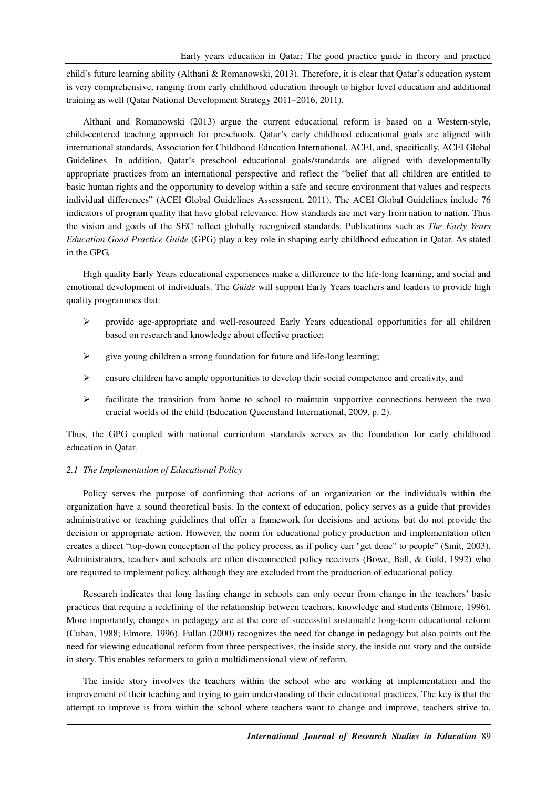child's future learning ability (Althani & Romanowski, 2013). Therefore, it is clear that Qatar's education system is very comprehensive, ranging from early childhood education through to higher level education and additional training as well (Qatar National Development Strategy 2011–2016, 2011).

Althani and Romanowski (2013) argue the current educational reform is based on a Western-style, child-centered teaching approach for preschools. Qatar's early childhood educational goals are aligned with international standards, Association for Childhood Education International, ACEI, and, specifically, ACEI Global Guidelines. In addition, Qatar's preschool educational goals/standards are aligned with developmentally appropriate practices from an international perspective and reflect the "belief that all children are entitled to basic human rights and the opportunity to develop within a safe and secure environment that values and respects individual differences" (ACEI Global Guidelines Assessment, 2011). The ACEI Global Guidelines include 76 indicators of program quality that have global relevance. How standards are met vary from nation to nation. Thus the vision and goals of the SEC reflect globally recognized standards. Publications such as *The Early Years Education Good Practice Guide* (GPG) play a key role in shaping early childhood education in Qatar. As stated in the GPG,

High quality Early Years educational experiences make a difference to the life-long learning, and social and emotional development of individuals. The *Guide* will support Early Years teachers and leaders to provide high quality programmes that:

- provide age-appropriate and well-resourced Early Years educational opportunities for all children based on research and knowledge about effective practice;
- $\triangleright$  give young children a strong foundation for future and life-long learning;
- $\triangleright$  ensure children have ample opportunities to develop their social competence and creativity, and
- $\triangleright$  facilitate the transition from home to school to maintain supportive connections between the two crucial worlds of the child (Education Queensland International, 2009, p. 2).

Thus, the GPG coupled with national curriculum standards serves as the foundation for early childhood education in Qatar.

### *2.1 The Implementation of Educational Policy*

Policy serves the purpose of confirming that actions of an organization or the individuals within the organization have a sound theoretical basis. In the context of education, policy serves as a guide that provides administrative or teaching guidelines that offer a framework for decisions and actions but do not provide the decision or appropriate action. However, the norm for educational policy production and implementation often creates a direct "top-down conception of the policy process, as if policy can "get done" to people" (Smit, 2003). Administrators, teachers and schools are often disconnected policy receivers (Bowe, Ball, & Gold, 1992) who are required to implement policy, although they are excluded from the production of educational policy.

Research indicates that long lasting change in schools can only occur from change in the teachers' basic practices that require a redefining of the relationship between teachers, knowledge and students (Elmore, 1996). More importantly, changes in pedagogy are at the core of successful sustainable long-term educational reform (Cuban, 1988; Elmore, 1996). Fullan (2000) recognizes the need for change in pedagogy but also points out the need for viewing educational reform from three perspectives, the inside story, the inside out story and the outside in story. This enables reformers to gain a multidimensional view of reform.

The inside story involves the teachers within the school who are working at implementation and the improvement of their teaching and trying to gain understanding of their educational practices. The key is that the attempt to improve is from within the school where teachers want to change and improve, teachers strive to,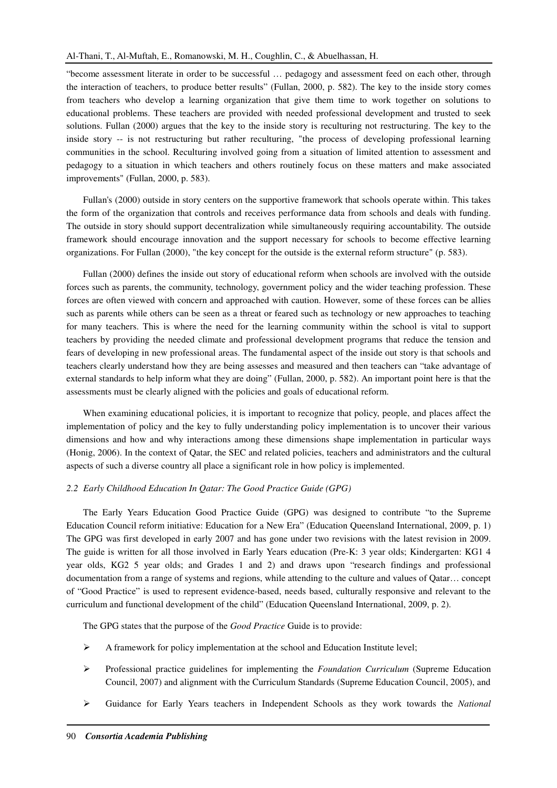"become assessment literate in order to be successful … pedagogy and assessment feed on each other, through the interaction of teachers, to produce better results" (Fullan, 2000, p. 582). The key to the inside story comes from teachers who develop a learning organization that give them time to work together on solutions to educational problems. These teachers are provided with needed professional development and trusted to seek solutions. Fullan (2000) argues that the key to the inside story is reculturing not restructuring. The key to the inside story -- is not restructuring but rather reculturing, "the process of developing professional learning communities in the school. Reculturing involved going from a situation of limited attention to assessment and pedagogy to a situation in which teachers and others routinely focus on these matters and make associated improvements" (Fullan, 2000, p. 583).

Fullan's (2000) outside in story centers on the supportive framework that schools operate within. This takes the form of the organization that controls and receives performance data from schools and deals with funding. The outside in story should support decentralization while simultaneously requiring accountability. The outside framework should encourage innovation and the support necessary for schools to become effective learning organizations. For Fullan (2000), "the key concept for the outside is the external reform structure" (p. 583).

Fullan (2000) defines the inside out story of educational reform when schools are involved with the outside forces such as parents, the community, technology, government policy and the wider teaching profession. These forces are often viewed with concern and approached with caution. However, some of these forces can be allies such as parents while others can be seen as a threat or feared such as technology or new approaches to teaching for many teachers. This is where the need for the learning community within the school is vital to support teachers by providing the needed climate and professional development programs that reduce the tension and fears of developing in new professional areas. The fundamental aspect of the inside out story is that schools and teachers clearly understand how they are being assesses and measured and then teachers can "take advantage of external standards to help inform what they are doing" (Fullan, 2000, p. 582). An important point here is that the assessments must be clearly aligned with the policies and goals of educational reform.

When examining educational policies, it is important to recognize that policy, people, and places affect the implementation of policy and the key to fully understanding policy implementation is to uncover their various dimensions and how and why interactions among these dimensions shape implementation in particular ways (Honig, 2006). In the context of Qatar, the SEC and related policies, teachers and administrators and the cultural aspects of such a diverse country all place a significant role in how policy is implemented.

# *2.2 Early Childhood Education In Qatar: The Good Practice Guide (GPG)*

The Early Years Education Good Practice Guide (GPG) was designed to contribute "to the Supreme Education Council reform initiative: Education for a New Era" (Education Queensland International, 2009, p. 1) The GPG was first developed in early 2007 and has gone under two revisions with the latest revision in 2009. The guide is written for all those involved in Early Years education (Pre-K: 3 year olds; Kindergarten: KG1 4 year olds, KG2 5 year olds; and Grades 1 and 2) and draws upon "research findings and professional documentation from a range of systems and regions, while attending to the culture and values of Qatar… concept of "Good Practice" is used to represent evidence-based, needs based, culturally responsive and relevant to the curriculum and functional development of the child" (Education Queensland International, 2009, p. 2).

The GPG states that the purpose of the *Good Practice* Guide is to provide:

- $\triangleright$  A framework for policy implementation at the school and Education Institute level;
- Professional practice guidelines for implementing the *Foundation Curriculum* (Supreme Education Council, 2007) and alignment with the Curriculum Standards (Supreme Education Council, 2005), and
- Guidance for Early Years teachers in Independent Schools as they work towards the *National*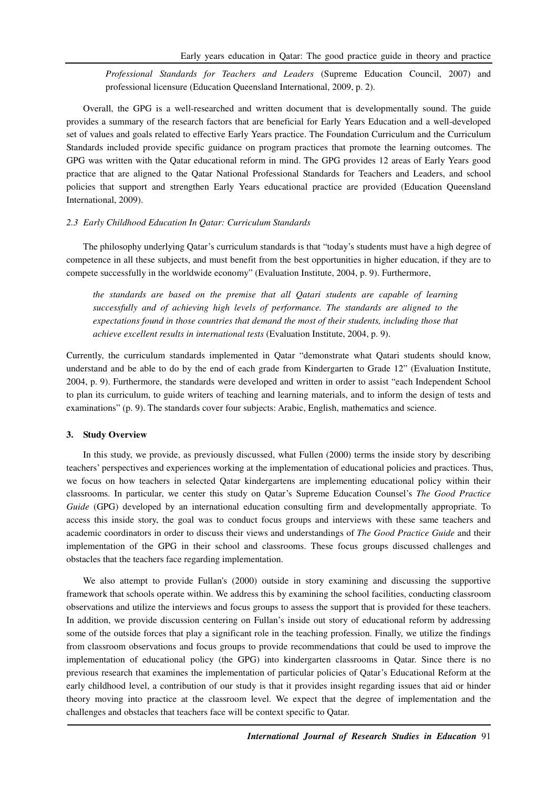*Professional Standards for Teachers and Leaders* (Supreme Education Council, 2007) and professional licensure (Education Queensland International, 2009, p. 2).

Overall, the GPG is a well-researched and written document that is developmentally sound. The guide provides a summary of the research factors that are beneficial for Early Years Education and a well-developed set of values and goals related to effective Early Years practice. The Foundation Curriculum and the Curriculum Standards included provide specific guidance on program practices that promote the learning outcomes. The GPG was written with the Qatar educational reform in mind. The GPG provides 12 areas of Early Years good practice that are aligned to the Qatar National Professional Standards for Teachers and Leaders, and school policies that support and strengthen Early Years educational practice are provided (Education Queensland International, 2009).

#### *2.3 Early Childhood Education In Qatar: Curriculum Standards*

The philosophy underlying Qatar's curriculum standards is that "today's students must have a high degree of competence in all these subjects, and must benefit from the best opportunities in higher education, if they are to compete successfully in the worldwide economy" (Evaluation Institute, 2004, p. 9). Furthermore,

*the standards are based on the premise that all Qatari students are capable of learning successfully and of achieving high levels of performance. The standards are aligned to the expectations found in those countries that demand the most of their students, including those that achieve excellent results in international tests* (Evaluation Institute, 2004, p. 9).

Currently, the curriculum standards implemented in Qatar "demonstrate what Qatari students should know, understand and be able to do by the end of each grade from Kindergarten to Grade 12" (Evaluation Institute, 2004, p. 9). Furthermore, the standards were developed and written in order to assist "each Independent School to plan its curriculum, to guide writers of teaching and learning materials, and to inform the design of tests and examinations" (p. 9). The standards cover four subjects: Arabic, English, mathematics and science.

#### **3. Study Overview**

In this study, we provide, as previously discussed, what Fullen (2000) terms the inside story by describing teachers' perspectives and experiences working at the implementation of educational policies and practices. Thus, we focus on how teachers in selected Qatar kindergartens are implementing educational policy within their classrooms. In particular, we center this study on Qatar's Supreme Education Counsel's *The Good Practice Guide* (GPG) developed by an international education consulting firm and developmentally appropriate. To access this inside story, the goal was to conduct focus groups and interviews with these same teachers and academic coordinators in order to discuss their views and understandings of *The Good Practice Guide* and their implementation of the GPG in their school and classrooms. These focus groups discussed challenges and obstacles that the teachers face regarding implementation.

We also attempt to provide Fullan's (2000) outside in story examining and discussing the supportive framework that schools operate within. We address this by examining the school facilities, conducting classroom observations and utilize the interviews and focus groups to assess the support that is provided for these teachers. In addition, we provide discussion centering on Fullan's inside out story of educational reform by addressing some of the outside forces that play a significant role in the teaching profession. Finally, we utilize the findings from classroom observations and focus groups to provide recommendations that could be used to improve the implementation of educational policy (the GPG) into kindergarten classrooms in Qatar. Since there is no previous research that examines the implementation of particular policies of Qatar's Educational Reform at the early childhood level, a contribution of our study is that it provides insight regarding issues that aid or hinder theory moving into practice at the classroom level. We expect that the degree of implementation and the challenges and obstacles that teachers face will be context specific to Qatar.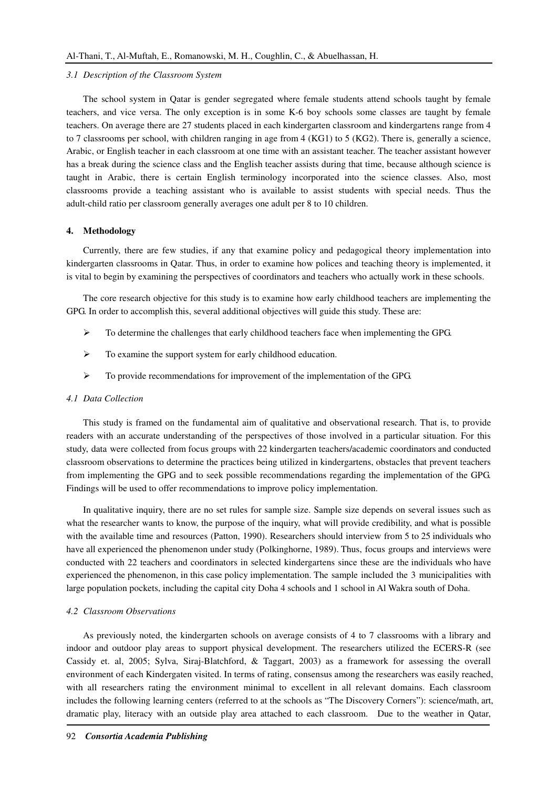#### *3.1 Description of the Classroom System*

The school system in Qatar is gender segregated where female students attend schools taught by female teachers, and vice versa. The only exception is in some K-6 boy schools some classes are taught by female teachers. On average there are 27 students placed in each kindergarten classroom and kindergartens range from 4 to 7 classrooms per school, with children ranging in age from 4 (KG1) to 5 (KG2). There is, generally a science, Arabic, or English teacher in each classroom at one time with an assistant teacher. The teacher assistant however has a break during the science class and the English teacher assists during that time, because although science is taught in Arabic, there is certain English terminology incorporated into the science classes. Also, most classrooms provide a teaching assistant who is available to assist students with special needs. Thus the adult-child ratio per classroom generally averages one adult per 8 to 10 children.

## **4. Methodology**

Currently, there are few studies, if any that examine policy and pedagogical theory implementation into kindergarten classrooms in Qatar. Thus, in order to examine how polices and teaching theory is implemented, it is vital to begin by examining the perspectives of coordinators and teachers who actually work in these schools.

The core research objective for this study is to examine how early childhood teachers are implementing the GPG. In order to accomplish this, several additional objectives will guide this study. These are:

- $\triangleright$  To determine the challenges that early childhood teachers face when implementing the GPG.
- $\triangleright$  To examine the support system for early childhood education.
- $\triangleright$  To provide recommendations for improvement of the implementation of the GPG.

#### *4.1 Data Collection*

This study is framed on the fundamental aim of qualitative and observational research. That is, to provide readers with an accurate understanding of the perspectives of those involved in a particular situation. For this study, data were collected from focus groups with 22 kindergarten teachers/academic coordinators and conducted classroom observations to determine the practices being utilized in kindergartens, obstacles that prevent teachers from implementing the GPG and to seek possible recommendations regarding the implementation of the GPG. Findings will be used to offer recommendations to improve policy implementation.

In qualitative inquiry, there are no set rules for sample size. Sample size depends on several issues such as what the researcher wants to know, the purpose of the inquiry, what will provide credibility, and what is possible with the available time and resources (Patton, 1990). Researchers should interview from 5 to 25 individuals who have all experienced the phenomenon under study (Polkinghorne, 1989). Thus, focus groups and interviews were conducted with 22 teachers and coordinators in selected kindergartens since these are the individuals who have experienced the phenomenon, in this case policy implementation. The sample included the 3 municipalities with large population pockets, including the capital city Doha 4 schools and 1 school in Al Wakra south of Doha.

#### *4.2 Classroom Observations*

As previously noted, the kindergarten schools on average consists of 4 to 7 classrooms with a library and indoor and outdoor play areas to support physical development. The researchers utilized the ECERS-R (see Cassidy et. al, 2005; Sylva, Siraj-Blatchford, & Taggart, 2003) as a framework for assessing the overall environment of each Kindergaten visited. In terms of rating, consensus among the researchers was easily reached, with all researchers rating the environment minimal to excellent in all relevant domains. Each classroom includes the following learning centers (referred to at the schools as "The Discovery Corners"): science/math, art, dramatic play, literacy with an outside play area attached to each classroom. Due to the weather in Qatar,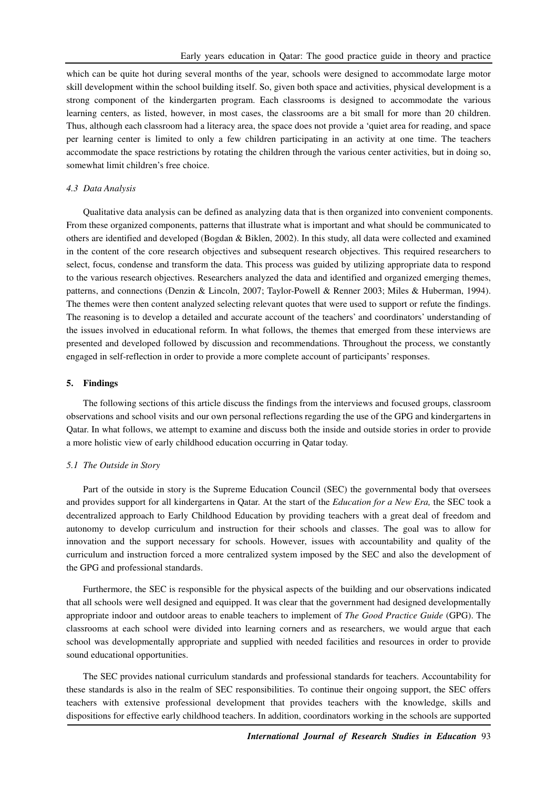which can be quite hot during several months of the year, schools were designed to accommodate large motor skill development within the school building itself. So, given both space and activities, physical development is a strong component of the kindergarten program. Each classrooms is designed to accommodate the various learning centers, as listed, however, in most cases, the classrooms are a bit small for more than 20 children. Thus, although each classroom had a literacy area, the space does not provide a 'quiet area for reading, and space per learning center is limited to only a few children participating in an activity at one time. The teachers accommodate the space restrictions by rotating the children through the various center activities, but in doing so, somewhat limit children's free choice.

### *4.3 Data Analysis*

Qualitative data analysis can be defined as analyzing data that is then organized into convenient components. From these organized components, patterns that illustrate what is important and what should be communicated to others are identified and developed (Bogdan & Biklen, 2002). In this study, all data were collected and examined in the content of the core research objectives and subsequent research objectives. This required researchers to select, focus, condense and transform the data. This process was guided by utilizing appropriate data to respond to the various research objectives. Researchers analyzed the data and identified and organized emerging themes, patterns, and connections (Denzin & Lincoln, 2007; Taylor-Powell & Renner 2003; Miles & Huberman, 1994). The themes were then content analyzed selecting relevant quotes that were used to support or refute the findings. The reasoning is to develop a detailed and accurate account of the teachers' and coordinators' understanding of the issues involved in educational reform. In what follows, the themes that emerged from these interviews are presented and developed followed by discussion and recommendations. Throughout the process, we constantly engaged in self-reflection in order to provide a more complete account of participants' responses.

#### **5. Findings**

The following sections of this article discuss the findings from the interviews and focused groups, classroom observations and school visits and our own personal reflections regarding the use of the GPG and kindergartens in Qatar. In what follows, we attempt to examine and discuss both the inside and outside stories in order to provide a more holistic view of early childhood education occurring in Qatar today.

#### *5.1 The Outside in Story*

Part of the outside in story is the Supreme Education Council (SEC) the governmental body that oversees and provides support for all kindergartens in Qatar. At the start of the *Education for a New Era,* the SEC took a decentralized approach to Early Childhood Education by providing teachers with a great deal of freedom and autonomy to develop curriculum and instruction for their schools and classes. The goal was to allow for innovation and the support necessary for schools. However, issues with accountability and quality of the curriculum and instruction forced a more centralized system imposed by the SEC and also the development of the GPG and professional standards.

Furthermore, the SEC is responsible for the physical aspects of the building and our observations indicated that all schools were well designed and equipped. It was clear that the government had designed developmentally appropriate indoor and outdoor areas to enable teachers to implement of *The Good Practice Guide* (GPG). The classrooms at each school were divided into learning corners and as researchers, we would argue that each school was developmentally appropriate and supplied with needed facilities and resources in order to provide sound educational opportunities.

The SEC provides national curriculum standards and professional standards for teachers. Accountability for these standards is also in the realm of SEC responsibilities. To continue their ongoing support, the SEC offers teachers with extensive professional development that provides teachers with the knowledge, skills and dispositions for effective early childhood teachers. In addition, coordinators working in the schools are supported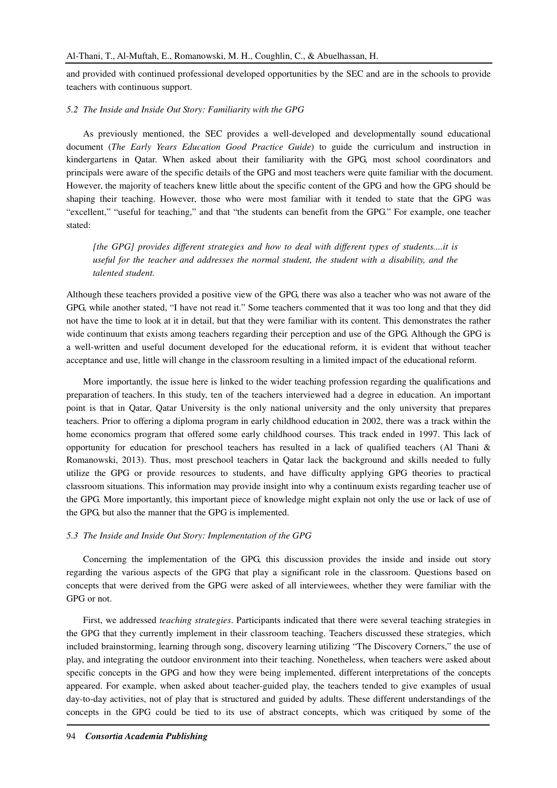and provided with continued professional developed opportunities by the SEC and are in the schools to provide teachers with continuous support.

#### *5.2 The Inside and Inside Out Story: Familiarity with the GPG*

As previously mentioned, the SEC provides a well-developed and developmentally sound educational document (*The Early Years Education Good Practice Guide*) to guide the curriculum and instruction in kindergartens in Qatar. When asked about their familiarity with the GPG, most school coordinators and principals were aware of the specific details of the GPG and most teachers were quite familiar with the document. However, the majority of teachers knew little about the specific content of the GPG and how the GPG should be shaping their teaching. However, those who were most familiar with it tended to state that the GPG was "excellent," "useful for teaching," and that "the students can benefit from the GPG." For example, one teacher stated:

*[the GPG] provides different strategies and how to deal with different types of students....it is useful for the teacher and addresses the normal student, the student with a disability, and the talented student.* 

Although these teachers provided a positive view of the GPG, there was also a teacher who was not aware of the GPG, while another stated, "I have not read it." Some teachers commented that it was too long and that they did not have the time to look at it in detail, but that they were familiar with its content. This demonstrates the rather wide continuum that exists among teachers regarding their perception and use of the GPG. Although the GPG is a well-written and useful document developed for the educational reform, it is evident that without teacher acceptance and use, little will change in the classroom resulting in a limited impact of the educational reform.

More importantly, the issue here is linked to the wider teaching profession regarding the qualifications and preparation of teachers. In this study, ten of the teachers interviewed had a degree in education. An important point is that in Qatar, Qatar University is the only national university and the only university that prepares teachers. Prior to offering a diploma program in early childhood education in 2002, there was a track within the home economics program that offered some early childhood courses. This track ended in 1997. This lack of opportunity for education for preschool teachers has resulted in a lack of qualified teachers (Al Thani  $\&$ Romanowski, 2013). Thus, most preschool teachers in Qatar lack the background and skills needed to fully utilize the GPG or provide resources to students, and have difficulty applying GPG theories to practical classroom situations. This information may provide insight into why a continuum exists regarding teacher use of the GPG. More importantly, this important piece of knowledge might explain not only the use or lack of use of the GPG, but also the manner that the GPG is implemented.

#### *5.3 The Inside and Inside Out Story: Implementation of the GPG*

Concerning the implementation of the GPG, this discussion provides the inside and inside out story regarding the various aspects of the GPG that play a significant role in the classroom. Questions based on concepts that were derived from the GPG were asked of all interviewees, whether they were familiar with the GPG or not.

First, we addressed *teaching strategies*. Participants indicated that there were several teaching strategies in the GPG that they currently implement in their classroom teaching. Teachers discussed these strategies, which included brainstorming, learning through song, discovery learning utilizing "The Discovery Corners," the use of play, and integrating the outdoor environment into their teaching. Nonetheless, when teachers were asked about specific concepts in the GPG and how they were being implemented, different interpretations of the concepts appeared. For example, when asked about teacher-guided play, the teachers tended to give examples of usual day-to-day activities, not of play that is structured and guided by adults. These different understandings of the concepts in the GPG could be tied to its use of abstract concepts, which was critiqued by some of the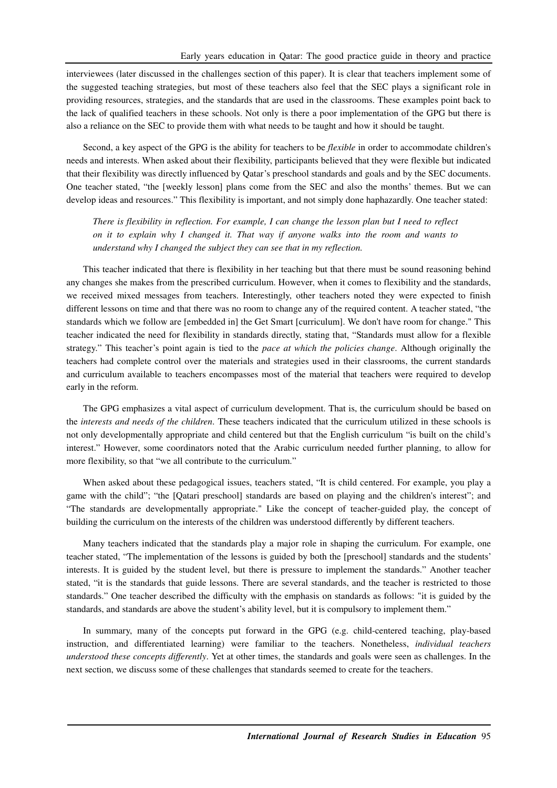interviewees (later discussed in the challenges section of this paper). It is clear that teachers implement some of the suggested teaching strategies, but most of these teachers also feel that the SEC plays a significant role in providing resources, strategies, and the standards that are used in the classrooms. These examples point back to the lack of qualified teachers in these schools. Not only is there a poor implementation of the GPG but there is also a reliance on the SEC to provide them with what needs to be taught and how it should be taught.

Second, a key aspect of the GPG is the ability for teachers to be *flexible* in order to accommodate children's needs and interests. When asked about their flexibility, participants believed that they were flexible but indicated that their flexibility was directly influenced by Qatar's preschool standards and goals and by the SEC documents. One teacher stated, "the [weekly lesson] plans come from the SEC and also the months' themes. But we can develop ideas and resources." This flexibility is important, and not simply done haphazardly. One teacher stated:

*There is flexibility in reflection. For example, I can change the lesson plan but I need to reflect on it to explain why I changed it. That way if anyone walks into the room and wants to understand why I changed the subject they can see that in my reflection.* 

This teacher indicated that there is flexibility in her teaching but that there must be sound reasoning behind any changes she makes from the prescribed curriculum. However, when it comes to flexibility and the standards, we received mixed messages from teachers. Interestingly, other teachers noted they were expected to finish different lessons on time and that there was no room to change any of the required content. A teacher stated, "the standards which we follow are [embedded in] the Get Smart [curriculum]. We don't have room for change." This teacher indicated the need for flexibility in standards directly, stating that, "Standards must allow for a flexible strategy." This teacher's point again is tied to the *pace at which the policies change*. Although originally the teachers had complete control over the materials and strategies used in their classrooms, the current standards and curriculum available to teachers encompasses most of the material that teachers were required to develop early in the reform.

The GPG emphasizes a vital aspect of curriculum development. That is, the curriculum should be based on the *interests and needs of the children*. These teachers indicated that the curriculum utilized in these schools is not only developmentally appropriate and child centered but that the English curriculum "is built on the child's interest." However, some coordinators noted that the Arabic curriculum needed further planning, to allow for more flexibility, so that "we all contribute to the curriculum."

When asked about these pedagogical issues, teachers stated, "It is child centered. For example, you play a game with the child"; "the [Qatari preschool] standards are based on playing and the children's interest"; and "The standards are developmentally appropriate." Like the concept of teacher-guided play, the concept of building the curriculum on the interests of the children was understood differently by different teachers.

Many teachers indicated that the standards play a major role in shaping the curriculum. For example, one teacher stated, "The implementation of the lessons is guided by both the [preschool] standards and the students' interests. It is guided by the student level, but there is pressure to implement the standards." Another teacher stated, "it is the standards that guide lessons. There are several standards, and the teacher is restricted to those standards." One teacher described the difficulty with the emphasis on standards as follows: "it is guided by the standards, and standards are above the student's ability level, but it is compulsory to implement them."

In summary, many of the concepts put forward in the GPG (e.g. child-centered teaching, play-based instruction, and differentiated learning) were familiar to the teachers. Nonetheless, *individual teachers understood these concepts differently*. Yet at other times, the standards and goals were seen as challenges. In the next section, we discuss some of these challenges that standards seemed to create for the teachers.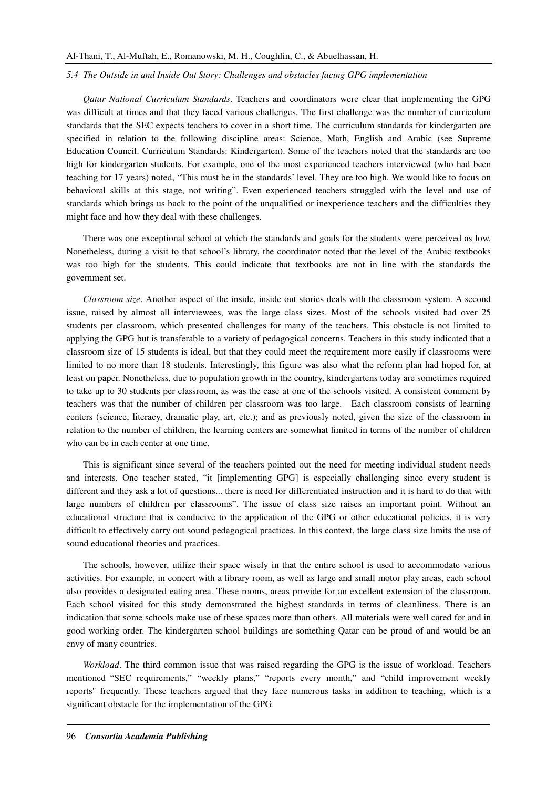#### *5.4 The Outside in and Inside Out Story: Challenges and obstacles facing GPG implementation*

*Qatar National Curriculum Standards*. Teachers and coordinators were clear that implementing the GPG was difficult at times and that they faced various challenges. The first challenge was the number of curriculum standards that the SEC expects teachers to cover in a short time. The curriculum standards for kindergarten are specified in relation to the following discipline areas: Science, Math, English and Arabic (see Supreme Education Council. Curriculum Standards: Kindergarten). Some of the teachers noted that the standards are too high for kindergarten students. For example, one of the most experienced teachers interviewed (who had been teaching for 17 years) noted, "This must be in the standards' level. They are too high. We would like to focus on behavioral skills at this stage, not writing". Even experienced teachers struggled with the level and use of standards which brings us back to the point of the unqualified or inexperience teachers and the difficulties they might face and how they deal with these challenges.

There was one exceptional school at which the standards and goals for the students were perceived as low. Nonetheless, during a visit to that school's library, the coordinator noted that the level of the Arabic textbooks was too high for the students. This could indicate that textbooks are not in line with the standards the government set.

*Classroom size*. Another aspect of the inside, inside out stories deals with the classroom system. A second issue, raised by almost all interviewees, was the large class sizes. Most of the schools visited had over 25 students per classroom, which presented challenges for many of the teachers. This obstacle is not limited to applying the GPG but is transferable to a variety of pedagogical concerns. Teachers in this study indicated that a classroom size of 15 students is ideal, but that they could meet the requirement more easily if classrooms were limited to no more than 18 students. Interestingly, this figure was also what the reform plan had hoped for, at least on paper. Nonetheless, due to population growth in the country, kindergartens today are sometimes required to take up to 30 students per classroom, as was the case at one of the schools visited. A consistent comment by teachers was that the number of children per classroom was too large. Each classroom consists of learning centers (science, literacy, dramatic play, art, etc.); and as previously noted, given the size of the classroom in relation to the number of children, the learning centers are somewhat limited in terms of the number of children who can be in each center at one time.

This is significant since several of the teachers pointed out the need for meeting individual student needs and interests. One teacher stated, "it [implementing GPG] is especially challenging since every student is different and they ask a lot of questions... there is need for differentiated instruction and it is hard to do that with large numbers of children per classrooms". The issue of class size raises an important point. Without an educational structure that is conducive to the application of the GPG or other educational policies, it is very difficult to effectively carry out sound pedagogical practices. In this context, the large class size limits the use of sound educational theories and practices.

The schools, however, utilize their space wisely in that the entire school is used to accommodate various activities. For example, in concert with a library room, as well as large and small motor play areas, each school also provides a designated eating area. These rooms, areas provide for an excellent extension of the classroom. Each school visited for this study demonstrated the highest standards in terms of cleanliness. There is an indication that some schools make use of these spaces more than others. All materials were well cared for and in good working order. The kindergarten school buildings are something Qatar can be proud of and would be an envy of many countries.

*Workload*. The third common issue that was raised regarding the GPG is the issue of workload. Teachers mentioned "SEC requirements," "weekly plans," "reports every month," and "child improvement weekly reports" frequently. These teachers argued that they face numerous tasks in addition to teaching, which is a significant obstacle for the implementation of the GPG.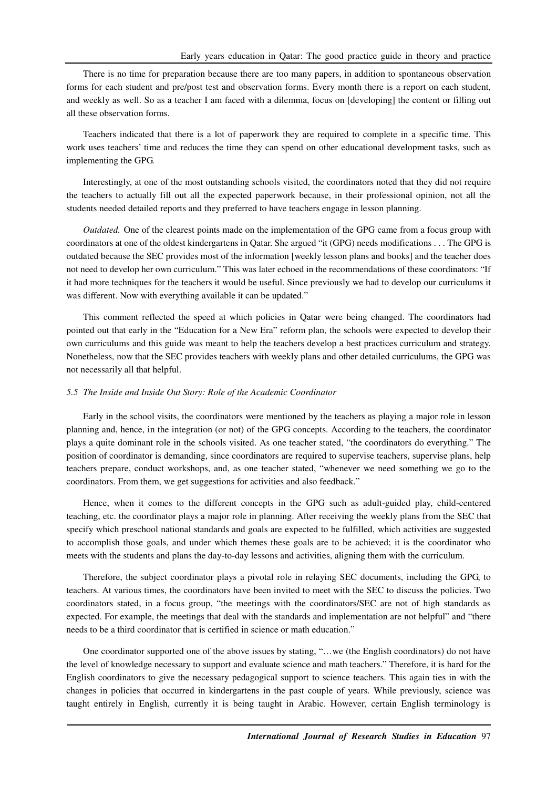There is no time for preparation because there are too many papers, in addition to spontaneous observation forms for each student and pre/post test and observation forms. Every month there is a report on each student, and weekly as well. So as a teacher I am faced with a dilemma, focus on [developing] the content or filling out all these observation forms.

Teachers indicated that there is a lot of paperwork they are required to complete in a specific time. This work uses teachers' time and reduces the time they can spend on other educational development tasks, such as implementing the GPG.

Interestingly, at one of the most outstanding schools visited, the coordinators noted that they did not require the teachers to actually fill out all the expected paperwork because, in their professional opinion, not all the students needed detailed reports and they preferred to have teachers engage in lesson planning.

*Outdated.* One of the clearest points made on the implementation of the GPG came from a focus group with coordinators at one of the oldest kindergartens in Qatar. She argued "it (GPG) needs modifications . . . The GPG is outdated because the SEC provides most of the information [weekly lesson plans and books] and the teacher does not need to develop her own curriculum." This was later echoed in the recommendations of these coordinators: "If it had more techniques for the teachers it would be useful. Since previously we had to develop our curriculums it was different. Now with everything available it can be updated."

This comment reflected the speed at which policies in Qatar were being changed. The coordinators had pointed out that early in the "Education for a New Era" reform plan, the schools were expected to develop their own curriculums and this guide was meant to help the teachers develop a best practices curriculum and strategy. Nonetheless, now that the SEC provides teachers with weekly plans and other detailed curriculums, the GPG was not necessarily all that helpful.

## *5.5 The Inside and Inside Out Story: Role of the Academic Coordinator*

Early in the school visits, the coordinators were mentioned by the teachers as playing a major role in lesson planning and, hence, in the integration (or not) of the GPG concepts. According to the teachers, the coordinator plays a quite dominant role in the schools visited. As one teacher stated, "the coordinators do everything." The position of coordinator is demanding, since coordinators are required to supervise teachers, supervise plans, help teachers prepare, conduct workshops, and, as one teacher stated, "whenever we need something we go to the coordinators. From them, we get suggestions for activities and also feedback."

Hence, when it comes to the different concepts in the GPG such as adult-guided play, child-centered teaching, etc. the coordinator plays a major role in planning. After receiving the weekly plans from the SEC that specify which preschool national standards and goals are expected to be fulfilled, which activities are suggested to accomplish those goals, and under which themes these goals are to be achieved; it is the coordinator who meets with the students and plans the day-to-day lessons and activities, aligning them with the curriculum.

Therefore, the subject coordinator plays a pivotal role in relaying SEC documents, including the GPG, to teachers. At various times, the coordinators have been invited to meet with the SEC to discuss the policies. Two coordinators stated, in a focus group, "the meetings with the coordinators/SEC are not of high standards as expected. For example, the meetings that deal with the standards and implementation are not helpful" and "there needs to be a third coordinator that is certified in science or math education."

One coordinator supported one of the above issues by stating, "…we (the English coordinators) do not have the level of knowledge necessary to support and evaluate science and math teachers." Therefore, it is hard for the English coordinators to give the necessary pedagogical support to science teachers. This again ties in with the changes in policies that occurred in kindergartens in the past couple of years. While previously, science was taught entirely in English, currently it is being taught in Arabic. However, certain English terminology is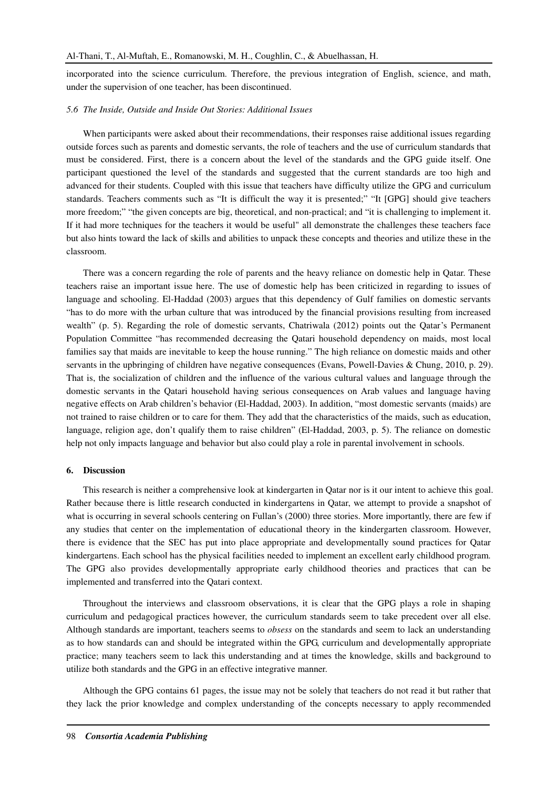incorporated into the science curriculum. Therefore, the previous integration of English, science, and math, under the supervision of one teacher, has been discontinued.

### *5.6 The Inside, Outside and Inside Out Stories: Additional Issues*

When participants were asked about their recommendations, their responses raise additional issues regarding outside forces such as parents and domestic servants, the role of teachers and the use of curriculum standards that must be considered. First, there is a concern about the level of the standards and the GPG guide itself. One participant questioned the level of the standards and suggested that the current standards are too high and advanced for their students. Coupled with this issue that teachers have difficulty utilize the GPG and curriculum standards. Teachers comments such as "It is difficult the way it is presented;" "It [GPG] should give teachers more freedom;" "the given concepts are big, theoretical, and non-practical; and "it is challenging to implement it. If it had more techniques for the teachers it would be useful" all demonstrate the challenges these teachers face but also hints toward the lack of skills and abilities to unpack these concepts and theories and utilize these in the classroom.

There was a concern regarding the role of parents and the heavy reliance on domestic help in Qatar. These teachers raise an important issue here. The use of domestic help has been criticized in regarding to issues of language and schooling. El-Haddad (2003) argues that this dependency of Gulf families on domestic servants "has to do more with the urban culture that was introduced by the financial provisions resulting from increased wealth" (p. 5). Regarding the role of domestic servants, Chatriwala (2012) points out the Oatar's Permanent Population Committee "has recommended decreasing the Qatari household dependency on maids, most local families say that maids are inevitable to keep the house running." The high reliance on domestic maids and other servants in the upbringing of children have negative consequences (Evans, Powell-Davies & Chung, 2010, p. 29). That is, the socialization of children and the influence of the various cultural values and language through the domestic servants in the Qatari household having serious consequences on Arab values and language having negative effects on Arab children's behavior (El-Haddad, 2003). In addition, "most domestic servants (maids) are not trained to raise children or to care for them. They add that the characteristics of the maids, such as education, language, religion age, don't qualify them to raise children" (El-Haddad, 2003, p. 5). The reliance on domestic help not only impacts language and behavior but also could play a role in parental involvement in schools.

#### **6. Discussion**

This research is neither a comprehensive look at kindergarten in Qatar nor is it our intent to achieve this goal. Rather because there is little research conducted in kindergartens in Qatar, we attempt to provide a snapshot of what is occurring in several schools centering on Fullan's (2000) three stories. More importantly, there are few if any studies that center on the implementation of educational theory in the kindergarten classroom. However, there is evidence that the SEC has put into place appropriate and developmentally sound practices for Qatar kindergartens. Each school has the physical facilities needed to implement an excellent early childhood program. The GPG also provides developmentally appropriate early childhood theories and practices that can be implemented and transferred into the Qatari context.

Throughout the interviews and classroom observations, it is clear that the GPG plays a role in shaping curriculum and pedagogical practices however, the curriculum standards seem to take precedent over all else. Although standards are important, teachers seems to *obsess* on the standards and seem to lack an understanding as to how standards can and should be integrated within the GPG, curriculum and developmentally appropriate practice; many teachers seem to lack this understanding and at times the knowledge, skills and background to utilize both standards and the GPG in an effective integrative manner.

Although the GPG contains 61 pages, the issue may not be solely that teachers do not read it but rather that they lack the prior knowledge and complex understanding of the concepts necessary to apply recommended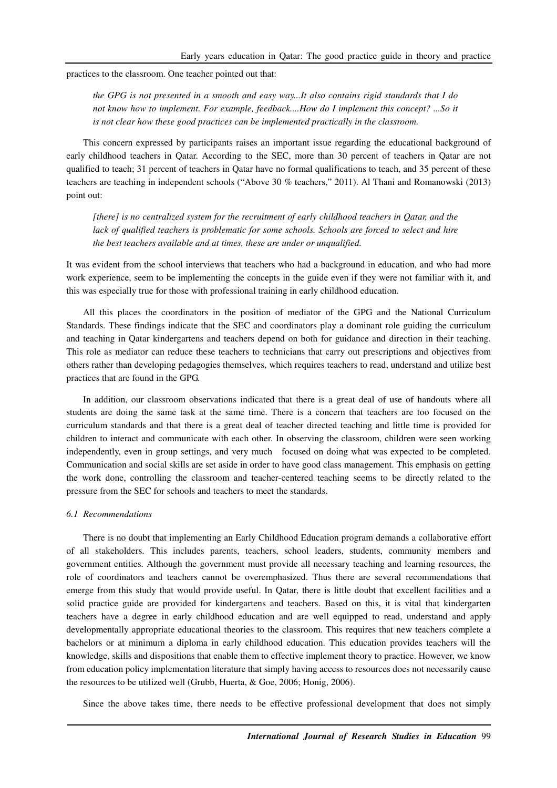practices to the classroom. One teacher pointed out that:

*the GPG is not presented in a smooth and easy way...It also contains rigid standards that I do not know how to implement. For example, feedback....How do I implement this concept? ...So it is not clear how these good practices can be implemented practically in the classroom.* 

This concern expressed by participants raises an important issue regarding the educational background of early childhood teachers in Qatar. According to the SEC, more than 30 percent of teachers in Qatar are not qualified to teach; 31 percent of teachers in Qatar have no formal qualifications to teach, and 35 percent of these teachers are teaching in independent schools ("Above 30 % teachers," 2011). Al Thani and Romanowski (2013) point out:

*[there] is no centralized system for the recruitment of early childhood teachers in Qatar, and the*  lack of qualified teachers is problematic for some schools. Schools are forced to select and hire *the best teachers available and at times, these are under or unqualified.* 

It was evident from the school interviews that teachers who had a background in education, and who had more work experience, seem to be implementing the concepts in the guide even if they were not familiar with it, and this was especially true for those with professional training in early childhood education.

All this places the coordinators in the position of mediator of the GPG and the National Curriculum Standards. These findings indicate that the SEC and coordinators play a dominant role guiding the curriculum and teaching in Qatar kindergartens and teachers depend on both for guidance and direction in their teaching. This role as mediator can reduce these teachers to technicians that carry out prescriptions and objectives from others rather than developing pedagogies themselves, which requires teachers to read, understand and utilize best practices that are found in the GPG.

In addition, our classroom observations indicated that there is a great deal of use of handouts where all students are doing the same task at the same time. There is a concern that teachers are too focused on the curriculum standards and that there is a great deal of teacher directed teaching and little time is provided for children to interact and communicate with each other. In observing the classroom, children were seen working independently, even in group settings, and very much focused on doing what was expected to be completed. Communication and social skills are set aside in order to have good class management. This emphasis on getting the work done, controlling the classroom and teacher-centered teaching seems to be directly related to the pressure from the SEC for schools and teachers to meet the standards.

#### *6.1 Recommendations*

There is no doubt that implementing an Early Childhood Education program demands a collaborative effort of all stakeholders. This includes parents, teachers, school leaders, students, community members and government entities. Although the government must provide all necessary teaching and learning resources, the role of coordinators and teachers cannot be overemphasized. Thus there are several recommendations that emerge from this study that would provide useful. In Qatar, there is little doubt that excellent facilities and a solid practice guide are provided for kindergartens and teachers. Based on this, it is vital that kindergarten teachers have a degree in early childhood education and are well equipped to read, understand and apply developmentally appropriate educational theories to the classroom. This requires that new teachers complete a bachelors or at minimum a diploma in early childhood education. This education provides teachers will the knowledge, skills and dispositions that enable them to effective implement theory to practice. However, we know from education policy implementation literature that simply having access to resources does not necessarily cause the resources to be utilized well (Grubb, Huerta, & Goe, 2006; Honig, 2006).

Since the above takes time, there needs to be effective professional development that does not simply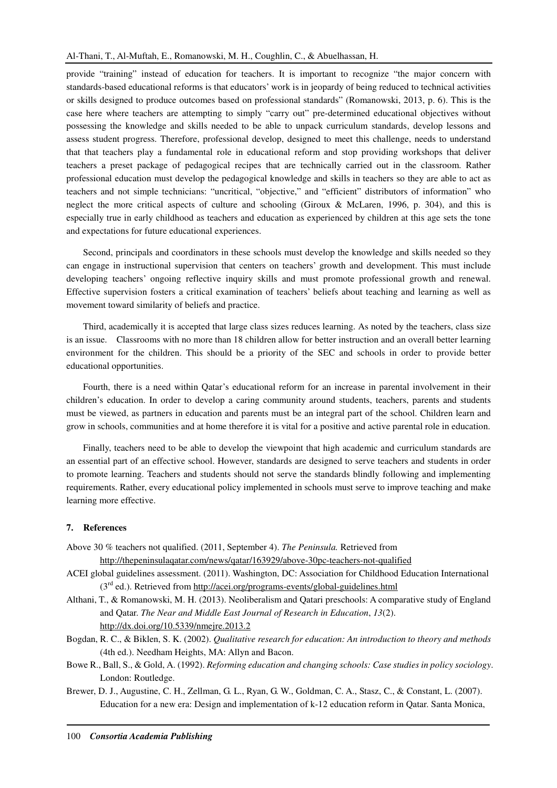provide "training" instead of education for teachers. It is important to recognize "the major concern with standards-based educational reforms is that educators' work is in jeopardy of being reduced to technical activities or skills designed to produce outcomes based on professional standards" (Romanowski, 2013, p. 6). This is the case here where teachers are attempting to simply "carry out" pre-determined educational objectives without possessing the knowledge and skills needed to be able to unpack curriculum standards, develop lessons and assess student progress. Therefore, professional develop, designed to meet this challenge, needs to understand that that teachers play a fundamental role in educational reform and stop providing workshops that deliver teachers a preset package of pedagogical recipes that are technically carried out in the classroom. Rather professional education must develop the pedagogical knowledge and skills in teachers so they are able to act as teachers and not simple technicians: "uncritical, "objective," and "efficient" distributors of information" who neglect the more critical aspects of culture and schooling (Giroux & McLaren, 1996, p. 304), and this is especially true in early childhood as teachers and education as experienced by children at this age sets the tone and expectations for future educational experiences.

Second, principals and coordinators in these schools must develop the knowledge and skills needed so they can engage in instructional supervision that centers on teachers' growth and development. This must include developing teachers' ongoing reflective inquiry skills and must promote professional growth and renewal. Effective supervision fosters a critical examination of teachers' beliefs about teaching and learning as well as movement toward similarity of beliefs and practice.

Third, academically it is accepted that large class sizes reduces learning. As noted by the teachers, class size is an issue. Classrooms with no more than 18 children allow for better instruction and an overall better learning environment for the children. This should be a priority of the SEC and schools in order to provide better educational opportunities.

Fourth, there is a need within Qatar's educational reform for an increase in parental involvement in their children's education. In order to develop a caring community around students, teachers, parents and students must be viewed, as partners in education and parents must be an integral part of the school. Children learn and grow in schools, communities and at home therefore it is vital for a positive and active parental role in education.

Finally, teachers need to be able to develop the viewpoint that high academic and curriculum standards are an essential part of an effective school. However, standards are designed to serve teachers and students in order to promote learning. Teachers and students should not serve the standards blindly following and implementing requirements. Rather, every educational policy implemented in schools must serve to improve teaching and make learning more effective.

### **7. References**

- Above 30 % teachers not qualified. (2011, September 4). *The Peninsula.* Retrieved from http://thepeninsulaqatar.com/news/qatar/163929/above-30pc-teachers-not-qualified
- ACEI global guidelines assessment. (2011). Washington, DC: Association for Childhood Education International  $(3<sup>rd</sup>$  ed.). Retrieved from http://acei.org/programs-events/global-guidelines.html
- Althani, T., & Romanowski, M. H. (2013). Neoliberalism and Qatari preschools: A comparative study of England and Qatar. *The Near and Middle East Journal of Research in Education*, *13*(2). http://dx.doi.org/10.5339/nmejre.2013.2
- Bogdan, R. C., & Biklen, S. K. (2002). *Qualitative research for education: An introduction to theory and methods* (4th ed.). Needham Heights, MA: Allyn and Bacon.
- Bowe R., Ball, S., & Gold, A. (1992). *Reforming education and changing schools: Case studies in policy sociology*. London: Routledge.
- Brewer, D. J., Augustine, C. H., Zellman, G. L., Ryan, G. W., Goldman, C. A., Stasz, C., & Constant, L. (2007). Education for a new era: Design and implementation of k-12 education reform in Qatar. Santa Monica,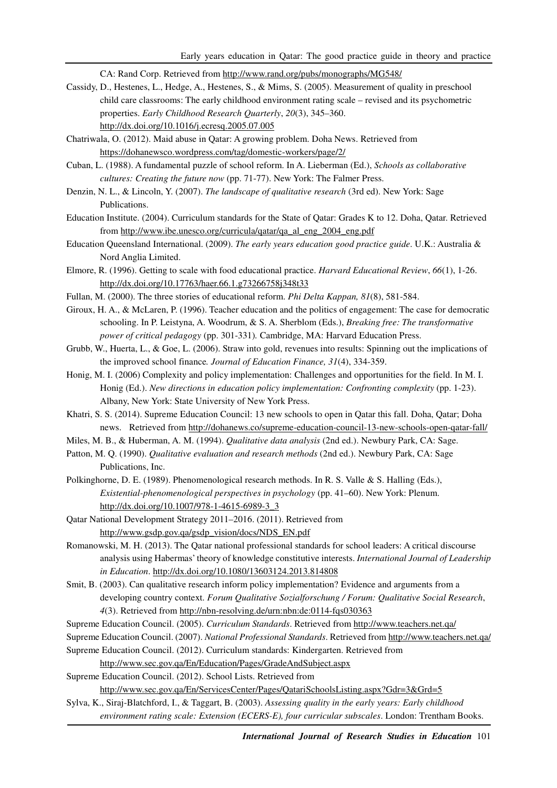CA: Rand Corp. Retrieved from http://www.rand.org/pubs/monographs/MG548/

- Cassidy, D., Hestenes, L., Hedge, A., Hestenes, S., & Mims, S. (2005). Measurement of quality in preschool child care classrooms: The early childhood environment rating scale – revised and its psychometric properties. *Early Childhood Research Quarterly*, *20*(3), 345–360. http://dx.doi.org/10.1016/j.ecresq.2005.07.005
- Chatriwala, O. (2012). Maid abuse in Qatar: A growing problem. Doha News. Retrieved from https://dohanewsco.wordpress.com/tag/domestic-workers/page/2/
- Cuban, L. (1988). A fundamental puzzle of school reform. In A. Lieberman (Ed.), *Schools as collaborative cultures: Creating the future now* (pp. 71-77). New York: The Falmer Press.
- Denzin, N. L., & Lincoln, Y. (2007). *The landscape of qualitative research* (3rd ed). New York: Sage Publications.
- Education Institute. (2004). Curriculum standards for the State of Qatar: Grades K to 12. Doha, Qatar. Retrieved from http://www.ibe.unesco.org/curricula/qatar/qa\_al\_eng\_2004\_eng.pdf
- Education Queensland International. (2009). *The early years education good practice guide*. U.K.: Australia & Nord Anglia Limited.
- Elmore, R. (1996). Getting to scale with food educational practice. *Harvard Educational Review*, *66*(1), 1-26. http://dx.doi.org/10.17763/haer.66.1.g73266758j348t33
- Fullan, M. (2000). The three stories of educational reform. *Phi Delta Kappan, 81*(8), 581-584.
- Giroux, H. A., & McLaren, P. (1996). Teacher education and the politics of engagement: The case for democratic schooling. In P. Leistyna, A. Woodrum, & S. A. Sherblom (Eds.), *Breaking free: The transformative power of critical pedagogy* (pp. 301-331)*.* Cambridge, MA: Harvard Education Press.
- Grubb, W., Huerta, L., & Goe, L. (2006). Straw into gold, revenues into results: Spinning out the implications of the improved school finance*. Journal of Education Finance, 31*(4), 334-359.
- Honig, M. I. (2006) Complexity and policy implementation: Challenges and opportunities for the field. In M. I. Honig (Ed.). *New directions in education policy implementation: Confronting complexity* (pp. 1-23). Albany, New York: State University of New York Press.
- Khatri, S. S. (2014). Supreme Education Council: 13 new schools to open in Qatar this fall. Doha, Qatar; Doha news. Retrieved from http://dohanews.co/supreme-education-council-13-new-schools-open-qatar-fall/
- Miles, M. B., & Huberman, A. M. (1994). *Qualitative data analysis* (2nd ed.). Newbury Park, CA: Sage.
- Patton, M. Q. (1990). *Qualitative evaluation and research methods* (2nd ed.). Newbury Park, CA: Sage Publications, Inc.
- Polkinghorne, D. E. (1989). Phenomenological research methods. In R. S. Valle & S. Halling (Eds.), *Existential-phenomenological perspectives in psychology* (pp. 41–60). New York: Plenum. http://dx.doi.org/10.1007/978-1-4615-6989-3\_3
- Qatar National Development Strategy 2011–2016. (2011). Retrieved from http://www.gsdp.gov.qa/gsdp\_vision/docs/NDS\_EN.pdf
- Romanowski, M. H. (2013). The Qatar national professional standards for school leaders: A critical discourse analysis using Habermas' theory of knowledge constitutive interests. *International Journal of Leadership in Education*. http://dx.doi.org/10.1080/13603124.2013.814808
- Smit, B. (2003). Can qualitative research inform policy implementation? Evidence and arguments from a developing country context. *Forum Qualitative Sozialforschung / Forum: Qualitative Social Research*, *4*(3). Retrieved from http://nbn-resolving.de/urn:nbn:de:0114-fqs030363
- Supreme Education Council. (2005). *Curriculum Standards*. Retrieved from http://www.teachers.net.qa/
- Supreme Education Council. (2007). *National Professional Standards*. Retrieved from http://www.teachers.net.qa/
- Supreme Education Council. (2012). Curriculum standards: Kindergarten. Retrieved from

http://www.sec.gov.qa/En/Education/Pages/GradeAndSubject.aspx

Supreme Education Council. (2012). School Lists. Retrieved from

http://www.sec.gov.qa/En/ServicesCenter/Pages/QatariSchoolsListing.aspx?Gdr=3&Grd=5

Sylva, K., Siraj-Blatchford, I., & Taggart, B. (2003). *Assessing quality in the early years: Early childhood environment rating scale: Extension (ECERS-E), four curricular subscales*. London: Trentham Books.